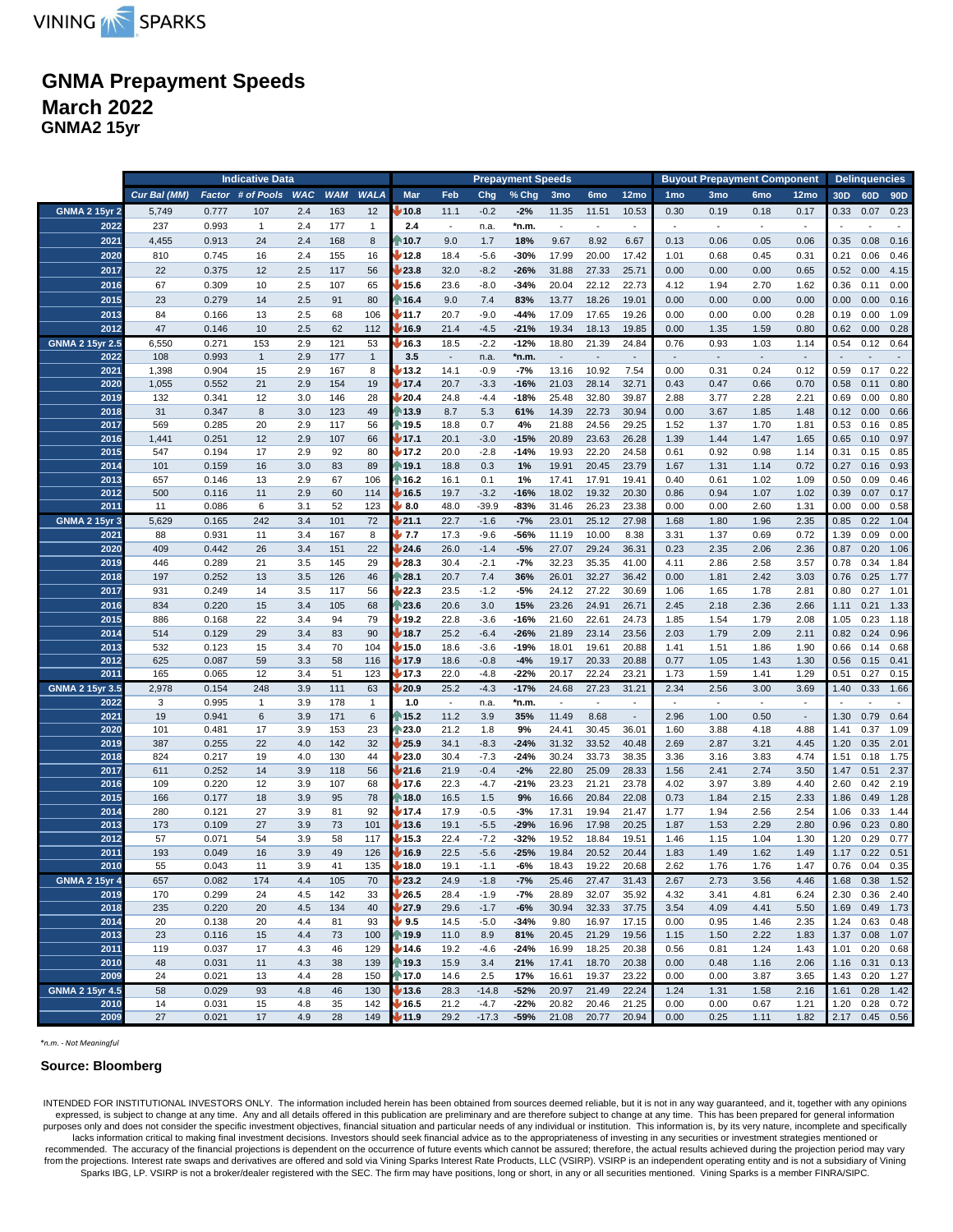

# **GNMA Prepayment Speeds March 2022**

**GNMA2 15yr**

|                                | <b>Indicative Data</b> |                |                   |            |            |              |                                     |                                  |                  | <b>Prepayment Speeds</b> |                                   |                 | <b>Buyout Prepayment Component</b> |                 |                          |                                  |                          | <b>Delinquencies</b> |                 |                 |
|--------------------------------|------------------------|----------------|-------------------|------------|------------|--------------|-------------------------------------|----------------------------------|------------------|--------------------------|-----------------------------------|-----------------|------------------------------------|-----------------|--------------------------|----------------------------------|--------------------------|----------------------|-----------------|-----------------|
|                                | Cur Bal (MM)           |                | Factor # of Pools | <b>WAC</b> | <b>WAM</b> | <b>WALA</b>  | Mar                                 | Feb                              | Chg              | $%$ Chg                  | 3 <sub>mo</sub>                   | 6 <sub>mo</sub> | 12mo                               | 1 <sub>mo</sub> | 3mo                      | 6 <sub>mo</sub>                  | 12mo                     | 30 <sub>D</sub>      | 60 <sub>D</sub> | 90 <sub>D</sub> |
| <b>GNMA 2 15yr 2</b>           | 5,749                  | 0.777          | 107               | 2.4        | 163        | 12           | 10.8                                | 11.1                             | $-0.2$           | $-2%$                    | 11.35                             | 11.51           | 10.53                              | 0.30            | 0.19                     | 0.18                             | 0.17                     | 0.33                 | 0.07            | 0.23            |
| 2022                           | 237                    | 0.993          | $\mathbf{1}$      | 2.4        | 177        | $\mathbf{1}$ | 2.4                                 | $\overline{\phantom{a}}$         | n.a.             | *n.m.                    | $\overline{\phantom{a}}$          | $\sim$          | $\overline{\phantom{a}}$           | $\blacksquare$  | $\overline{\phantom{a}}$ | $\overline{\phantom{a}}$         | $\sim$                   |                      |                 |                 |
| 2021                           | 4,455                  | 0.913          | 24                | 2.4        | 168        | 8            | $\blacktriangleright$ 10.7          | 9.0                              | 1.7              | 18%                      | 9.67                              | 8.92            | 6.67                               | 0.13            | 0.06                     | 0.05                             | 0.06                     | 0.35                 | 0.08            | 0.16            |
| 2020                           | 810                    | 0.745          | 16                | 2.4        | 155        | 16           | ₩ 12.8                              | 18.4                             | $-5.6$           | $-30%$                   | 17.99                             | 20.00           | 17.42                              | 1.01            | 0.68                     | 0.45                             | 0.31                     | 0.21                 | 0.06            | 0.46            |
| 2017<br>2016                   | 22<br>67               | 0.375<br>0.309 | 12<br>10          | 2.5<br>2.5 | 117<br>107 | 56<br>65     | 23.8<br>15.6                        | 32.0<br>23.6                     | $-8.2$<br>$-8.0$ | $-26%$<br>$-34%$         | 31.88<br>20.04                    | 27.33<br>22.12  | 25.71<br>22.73                     | 0.00<br>4.12    | 0.00<br>1.94             | 0.00<br>2.70                     | 0.65<br>1.62             | 0.52<br>0.36         | 0.00<br>0.11    | 4.15<br>0.00    |
| 2015                           | 23                     | 0.279          | 14                | 2.5        | 91         | 80           | ↑ 16.4                              | 9.0                              | 7.4              | 83%                      | 13.77                             | 18.26           | 19.01                              | 0.00            | 0.00                     | 0.00                             | 0.00                     | 0.00                 | 0.00            | 0.16            |
| 2013                           | 84                     | 0.166          | 13                | 2.5        | 68         | 106          | ♦ 11.7                              | 20.7                             | $-9.0$           | $-44%$                   | 17.09                             | 17.65           | 19.26                              | 0.00            | 0.00                     | 0.00                             | 0.28                     | 0.19                 | 0.00            | 1.09            |
| 2012                           | 47                     | 0.146          | 10                | 2.5        | 62         | 112          | ₩ 16.9                              | 21.4                             | $-4.5$           | $-21%$                   | 19.34                             | 18.13           | 19.85                              | 0.00            | 1.35                     | 1.59                             | 0.80                     | 0.62                 | 0.00            | 0.28            |
| <b>GNMA 2 15yr 2.5</b>         | 6,550                  | 0.271          | 153               | 2.9        | 121        | 53           | $\blacktriangleright$ 16.3          | 18.5                             | $-2.2$           | $-12%$                   | 18.80                             | 21.39           | 24.84                              | 0.76            | 0.93                     | 1.03                             | 1.14                     | 0.54                 | 0.12            | 0.64            |
| 2022                           | 108                    | 0.993          | $\mathbf{1}$      | 2.9        | 177        | $\mathbf{1}$ | 3.5                                 | $\overline{\phantom{a}}$         | n.a.             | *n.m.                    | $\overline{\phantom{a}}$          |                 | $\overline{\phantom{a}}$           | $\mathbb{L}$    | $\blacksquare$           |                                  | $\overline{\phantom{a}}$ | $\sim$               |                 |                 |
| 2021                           | 1,398                  | 0.904          | 15                | 2.9        | 167        | 8            | 13.2                                | 14.1                             | $-0.9$           | $-7%$                    | 13.16                             | 10.92           | 7.54                               | 0.00            | 0.31                     | 0.24                             | 0.12                     | 0.59                 | 0.17            | 0.22            |
| 2020<br>2019                   | 1,055<br>132           | 0.552<br>0.341 | 21<br>12          | 2.9<br>3.0 | 154<br>146 | 19<br>28     | ↓ 17.4<br>/20.4                     | 20.7<br>24.8                     | $-3.3$<br>$-4.4$ | $-16%$<br>$-18%$         | 21.03<br>25.48                    | 28.14<br>32.80  | 32.71<br>39.87                     | 0.43<br>2.88    | 0.47<br>3.77             | 0.66<br>2.28                     | 0.70<br>2.21             | 0.58<br>0.69         | 0.11<br>0.00    | 0.80<br>0.80    |
| 2018                           | 31                     | 0.347          | 8                 | 3.0        | 123        | 49           | 13.9                                | 8.7                              | 5.3              | 61%                      | 14.39                             | 22.73           | 30.94                              | 0.00            | 3.67                     | 1.85                             | 1.48                     | 0.12                 | 0.00            | 0.66            |
| 2017                           | 569                    | 0.285          | 20                | 2.9        | 117        | 56           | ₦ 19.5                              | 18.8                             | 0.7              | 4%                       | 21.88                             | 24.56           | 29.25                              | 1.52            | 1.37                     | 1.70                             | 1.81                     | 0.53                 | 0.16            | 0.85            |
| 2016                           | 1,441                  | 0.251          | 12                | 2.9        | 107        | 66           | V 17.1                              | 20.1                             | $-3.0$           | $-15%$                   | 20.89                             | 23.63           | 26.28                              | 1.39            | 1.44                     | 1.47                             | 1.65                     | 0.65                 | 0.10            | 0.97            |
| 2015                           | 547                    | 0.194          | 17                | 2.9        | 92         | 80           | $\sqrt{17.2}$                       | 20.0                             | $-2.8$           | $-14%$                   | 19.93                             | 22.20           | 24.58                              | 0.61            | 0.92                     | 0.98                             | 1.14                     | 0.31                 | 0.15            | 0.85            |
| 2014                           | 101                    | 0.159          | 16                | 3.0        | 83         | 89           | 19.1                                | 18.8                             | 0.3              | 1%                       | 19.91                             | 20.45           | 23.79                              | 1.67            | 1.31                     | 1.14                             | 0.72                     | 0.27                 | 0.16            | 0.93            |
| 2013<br>2012                   | 657<br>500             | 0.146<br>0.116 | 13<br>11          | 2.9<br>2.9 | 67<br>60   | 106<br>114   | ⋔ 16.2<br>16.5                      | 16.1<br>19.7                     | 0.1<br>$-3.2$    | 1%<br>$-16%$             | 17.41<br>18.02                    | 17.91<br>19.32  | 19.41<br>20.30                     | 0.40<br>0.86    | 0.61<br>0.94             | 1.02<br>1.07                     | 1.09<br>1.02             | 0.50<br>0.39         | 0.09<br>0.07    | 0.46<br>0.17    |
| 2011                           | 11                     | 0.086          | 6                 | 3.1        | 52         | 123          | $\downarrow 8.0$                    | 48.0                             | $-39.9$          | $-83%$                   | 31.46                             | 26.23           | 23.38                              | 0.00            | 0.00                     | 2.60                             | 1.31                     | 0.00                 | 0.00            | 0.58            |
| <b>GNMA 2 15yr 3</b>           | 5,629                  | 0.165          | 242               | 3.4        | 101        | 72           | /21.1                               | 22.7                             | $-1.6$           | $-7%$                    | 23.01                             | 25.12           | 27.98                              | 1.68            | 1.80                     | 1.96                             | 2.35                     | 0.85                 | 0.22            | 1.04            |
| 2021                           | 88                     | 0.931          | 11                | 3.4        | 167        | 8            | V 7.7                               | 17.3                             | $-9.6$           | -56%                     | 11.19                             | 10.00           | 8.38                               | 3.31            | 1.37                     | 0.69                             | 0.72                     | 1.39                 | 0.09            | 0.00            |
| 2020                           | 409                    | 0.442          | 26                | 3.4        | 151        | 22           | 4.6                                 | 26.0                             | $-1.4$           | $-5%$                    | 27.07                             | 29.24           | 36.31                              | 0.23            | 2.35                     | 2.06                             | 2.36                     | 0.87                 | 0.20            | 1.06            |
| 2019                           | 446                    | 0.289          | 21                | 3.5        | 145        | 29           | 128.3                               | 30.4                             | $-2.1$           | $-7%$                    | 32.23                             | 35.35           | 41.00                              | 4.11            | 2.86                     | 2.58                             | 3.57                     | 0.78                 | 0.34            | 1.84            |
| 2018<br>2017                   | 197<br>931             | 0.252<br>0.249 | 13<br>14          | 3.5<br>3.5 | 126<br>117 | 46<br>56     | $\triangleright$ 28.1<br>22.3       | 20.7<br>23.5                     | 7.4<br>$-1.2$    | 36%<br>-5%               | 26.01<br>24.12                    | 32.27<br>27.22  | 36.42<br>30.69                     | 0.00<br>1.06    | 1.81<br>1.65             | 2.42<br>1.78                     | 3.03<br>2.81             | 0.76<br>0.80         | 0.25<br>0.27    | 1.77<br>1.01    |
| 2016                           | 834                    | 0.220          | 15                | 3.4        | 105        | 68           | ₹ 23.6                              | 20.6                             | 3.0              | 15%                      | 23.26                             | 24.91           | 26.71                              | 2.45            | 2.18                     | 2.36                             | 2.66                     | 1.11                 | 0.21            | 1.33            |
| 2015                           | 886                    | 0.168          | 22                | 3.4        | 94         | 79           | $\blacktriangleright$ 19.2          | 22.8                             | $-3.6$           | $-16%$                   | 21.60                             | 22.61           | 24.73                              | 1.85            | 1.54                     | 1.79                             | 2.08                     | 1.05                 | 0.23            | 1.18            |
| 2014                           | 514                    | 0.129          | 29                | 3.4        | 83         | 90           | $\sqrt{18.7}$                       | 25.2                             | $-6.4$           | $-26%$                   | 21.89                             | 23.14           | 23.56                              | 2.03            | 1.79                     | 2.09                             | 2.11                     | 0.82                 | 0.24            | 0.96            |
| 2013                           | 532                    | 0.123          | 15                | 3.4        | 70         | 104          | $\frac{1}{2}$ 15.0                  | 18.6                             | $-3.6$           | $-19%$                   | 18.01                             | 19.61           | 20.88                              | 1.41            | 1.51                     | 1.86                             | 1.90                     | 0.66                 | 0.14            | 0.68            |
| 2012                           | 625                    | 0.087          | 59                | 3.3        | 58         | 116          | $\frac{1}{2}$ 17.9                  | 18.6                             | $-0.8$           | $-4%$                    | 19.17                             | 20.33           | 20.88                              | 0.77            | 1.05                     | 1.43                             | 1.30                     | 0.56                 | 0.15            | 0.41            |
| 2011                           | 165                    | 0.065          | 12                | 3.4        | 51         | 123          | (17.3                               | 22.0                             | $-4.8$           | $-22%$                   | 20.17                             | 22.24           | 23.21                              | 1.73            | 1.59                     | 1.41                             | 1.29                     | 0.51                 | 0.27            | 0.15            |
| <b>GNMA 2 15yr 3.5</b><br>2022 | 2,978<br>3             | 0.154<br>0.995 | 248<br>1          | 3.9<br>3.9 | 111<br>178 | 63<br>1      | 20.9<br>1.0                         | 25.2<br>$\overline{\phantom{a}}$ | $-4.3$<br>n.a.   | $-17%$<br>*n.m.          | 24.68<br>$\overline{\phantom{a}}$ | 27.23           | 31.21                              | 2.34<br>$\sim$  | 2.56<br>$\blacksquare$   | 3.00<br>$\overline{\phantom{a}}$ | 3.69                     | 1.40                 | 0.33            | 1.66            |
| 2021                           | 19                     | 0.941          | 6                 | 3.9        | 171        | 6            | 15.2                                | 11.2                             | 3.9              | 35%                      | 11.49                             | 8.68            | $\mathcal{L}_{\mathcal{A}}$        | 2.96            | 1.00                     | 0.50                             | $\overline{\phantom{a}}$ | 1.30                 | 0.79            | 0.64            |
| 2020                           | 101                    | 0.481          | 17                | 3.9        | 153        | 23           | ↑23.0                               | 21.2                             | 1.8              | 9%                       | 24.41                             | 30.45           | 36.01                              | 1.60            | 3.88                     | 4.18                             | 4.88                     | 1.41                 | 0.37            | 1.09            |
| 2019                           | 387                    | 0.255          | 22                | 4.0        | 142        | 32           | 25.9                                | 34.1                             | $-8.3$           | $-24%$                   | 31.32                             | 33.52           | 40.48                              | 2.69            | 2.87                     | 3.21                             | 4.45                     | 1.20                 | 0.35            | 2.01            |
| 2018                           | 824                    | 0.217          | 19                | 4.0        | 130        | 44           | 23.0 /                              | 30.4                             | $-7.3$           | $-24%$                   | 30.24                             | 33.73           | 38.35                              | 3.36            | 3.16                     | 3.83                             | 4.74                     | 1.51                 | 0.18            | 1.75            |
| 2017<br>2016                   | 611<br>109             | 0.252<br>0.220 | 14<br>12          | 3.9<br>3.9 | 118<br>107 | 56<br>68     | 121.6<br>$\blacktriangleright$ 17.6 | 21.9<br>22.3                     | $-0.4$<br>-4.7   | $-2%$<br>$-21%$          | 22.80<br>23.23                    | 25.09<br>21.21  | 28.33<br>23.78                     | 1.56<br>4.02    | 2.41<br>3.97             | 2.74<br>3.89                     | 3.50<br>4.40             | 1.47<br>2.60         | 0.51<br>0.42    | 2.37<br>2.19    |
| 2015                           | 166                    | 0.177          | 18                | 3.9        | 95         | 78           | $\sqrt{18.0}$                       | 16.5                             | 1.5              | 9%                       | 16.66                             | 20.84           | 22.08                              | 0.73            | 1.84                     | 2.15                             | 2.33                     | 1.86                 | 0.49            | 1.28            |
| 2014                           | 280                    | 0.121          | 27                | 3.9        | 81         | 92           | ∦ 17.4                              | 17.9                             | $-0.5$           | $-3%$                    | 17.31                             | 19.94           | 21.47                              | 1.77            | 1.94                     | 2.56                             | 2.54                     | 1.06                 | 0.33            | 1.44            |
| 2013                           | 173                    | 0.109          | 27                | 3.9        | 73         | 101          | 13.6                                | 19.1                             | $-5.5$           | $-29%$                   | 16.96                             | 17.98           | 20.25                              | 1.87            | 1.53                     | 2.29                             | 2.80                     | 0.96                 | 0.23            | 0.80            |
| 2012                           | 57                     | 0.071          | 54                | 3.9        | 58         | 117          | 15.3                                | 22.4                             | $-7.2$           | $-32%$                   | 19.52                             | 18.84           | 19.51                              | 1.46            | 1.15                     | 1.04                             | 1.30                     | 1.20                 | 0.29            | 0.77            |
| 2011<br>2010                   | 193                    | 0.049          | 16<br>11          | 3.9        | 49         | 126          | 16.9                                | 22.5                             | $-5.6$           | $-25%$                   | 19.84                             | 20.52           | 20.44                              | 1.83            | 1.49                     | 1.62                             | 1.49                     | 1.17                 | 0.22            | 0.51            |
| <b>GNMA 2 15yr 4</b>           | 55<br>657              | 0.043<br>0.082 | 174               | 3.9<br>4.4 | 41<br>105  | 135<br>70    | / 18.0<br>23.2                      | 19.1<br>24.9                     | $-1.1$<br>$-1.8$ | -6%<br>$-7%$             | 18.43<br>25.46                    | 19.22<br>27.47  | 20.68<br>31.43                     | 2.62<br>2.67    | 1.76<br>2.73             | 1.76<br>3.56                     | 1.47                     | 0.76 0.04<br>1.68    | 0.38            | 0.35<br>1.52    |
| 2019                           | 170                    | 0.299          | 24                | 4.5        | 142        | 33           | 26.5                                | 28.4                             | $-1.9$           | -7%                      | 28.89                             | 32.07           | 35.92                              | 4.32            | 3.41                     | 4.81                             | 4.46<br>6.24             | 2.30                 | 0.36            | 2.40            |
| 2018                           | 235                    | 0.220          | 20                | 4.5        | 134        | 40           | 127.9                               | 29.6                             | $-1.7$           | -6%                      | 30.94                             | 32.33           | 37.75                              | 3.54            | 4.09                     | 4.41                             | 5.50                     | 1.69                 | 0.49            | 1.73            |
| 2014                           | 20                     | 0.138          | 20                | 4.4        | 81         | 93           | ♥ 9.5                               | 14.5                             | $-5.0$           | $-34%$                   | 9.80                              | 16.97           | 17.15                              | 0.00            | 0.95                     | 1.46                             | 2.35                     | 1.24                 | 0.63            | 0.48            |
| 2013                           | 23                     | 0.116          | 15                | 4.4        | 73         | 100          | ⋔ 19.9                              | 11.0                             | 8.9              | 81%                      | 20.45                             | 21.29           | 19.56                              | 1.15            | 1.50                     | 2.22                             | 1.83                     | 1.37                 | 0.08            | 1.07            |
| 2011                           | 119                    | 0.037          | 17                | 4.3        | 46         | 129          | $\sqrt{14.6}$                       | 19.2                             | $-4.6$           | $-24%$                   | 16.99                             | 18.25           | 20.38                              | 0.56            | 0.81                     | 1.24                             | 1.43                     | 1.01                 | 0.20            | 0.68            |
| 2010<br>2009                   | 48<br>24               | 0.031<br>0.021 | 11<br>13          | 4.3<br>4.4 | 38<br>28   | 139<br>150   | ↑ 19.3<br>$\bigcap$ 17.0            | 15.9<br>14.6                     | 3.4<br>2.5       | 21%<br>17%               | 17.41<br>16.61                    | 18.70<br>19.37  | 20.38<br>23.22                     | 0.00<br>0.00    | 0.48<br>0.00             | 1.16<br>3.87                     | 2.06<br>3.65             | 1.16<br>1.43         | 0.31<br>0.20    | 0.13<br>1.27    |
| <b>GNMA 2 15yr 4.5</b>         | 58                     | 0.029          | 93                | 4.8        | 46         | 130          | $\sqrt{13.6}$                       | 28.3                             | $-14.8$          | $-52%$                   | 20.97                             | 21.49           | 22.24                              | 1.24            | 1.31                     | 1.58                             | 2.16                     | 1.61                 | 0.28            | 1.42            |
| 2010                           | 14                     | 0.031          | 15                | 4.8        | 35         | 142          | 16.5                                | 21.2                             | -4.7             | $-22%$                   | 20.82                             | 20.46           | 21.25                              | 0.00            | 0.00                     | 0.67                             | 1.21                     | 1.20                 | 0.28            | 0.72            |
| 2009                           | 27                     | 0.021          | 17                | 4.9        | 28         | 149          | (11.9⊧                              | 29.2                             | $-17.3$          | $-59%$                   | 21.08                             | 20.77           | 20.94                              | 0.00            | 0.25                     | 1.11                             | 1.82                     | 2.17                 | $0.45$ 0.56     |                 |

*\*n.m. - Not Meaningful*

### **Source: Bloomberg**

INTENDED FOR INSTITUTIONAL INVESTORS ONLY. The information included herein has been obtained from sources deemed reliable, but it is not in any way guaranteed, and it, together with any opinions expressed, is subject to ch lacks information critical to making final investment decisions. Investors should seek financial advice as to the appropriateness of investing in any securities or investment strategies mentioned or recommended. The accuracy of the financial projections is dependent on the occurrence of future events which cannot be assured; therefore, the actual results achieved during the projection period may vary from the projections. Interest rate swaps and derivatives are offered and sold via Vining Sparks Interest Rate Products, LLC (VSIRP). VSIRP is an independent operating entity and is not a subsidiary of Vining Sparks IBG, LP. VSIRP is not a broker/dealer registered with the SEC. The firm may have positions, long or short, in any or all securities mentioned. Vining Sparks is a member FINRA/SIPC.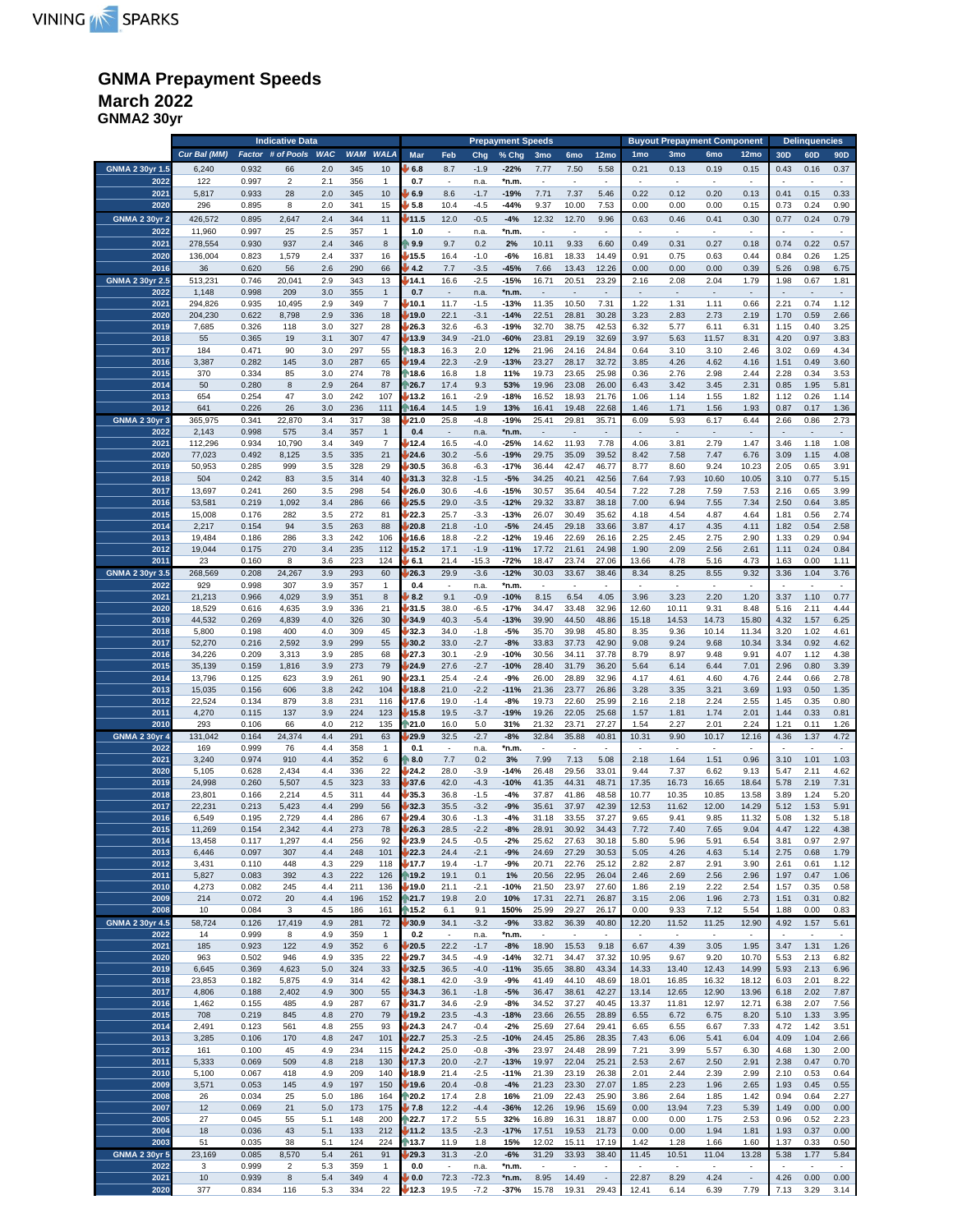## **GNMA Prepayment Speeds March 2022**

**GNMA2 30yr**

|                              |                 | <b>Indicative Data</b> |                         |            |            |                           |              |                                  |                  |                  | Prepayment Speeds                 |                          |                                   |                          | <b>Buyout Prepayment Component</b><br><b>Delinquencies</b> |                                   |                          |                          |                          |                          |
|------------------------------|-----------------|------------------------|-------------------------|------------|------------|---------------------------|--------------|----------------------------------|------------------|------------------|-----------------------------------|--------------------------|-----------------------------------|--------------------------|------------------------------------------------------------|-----------------------------------|--------------------------|--------------------------|--------------------------|--------------------------|
|                              | Cur Bal (MM)    | Factor                 | # of Pools              | <b>WAC</b> | <b>WAM</b> | <b>WALA</b>               | Mar          | Feb                              | Chg              | % Chg            | 3 <sub>mo</sub>                   | 6 <sub>mo</sub>          | 12mo                              | 1mo                      | 3mo                                                        | 6mo                               | 12mo                     | 30 <sub>D</sub>          | 60D                      | 90D                      |
| GNMA 2 30yr 1.5              | 6,240           | 0.932                  | 66                      | 2.0        | 345        | 10                        | 6.8          | 8.7                              | $-1.9$           | $-22%$           | 7.77                              | 7.50                     | 5.58                              | 0.21                     | 0.13                                                       | 0.19                              | 0.15                     | 0.43                     | 0.16                     | 0.37                     |
| 2022                         | 122             | 0.997                  | $\overline{\mathbf{c}}$ | 2.1        | 356        | $\mathbf{1}$              | 0.7          | ÷,                               | n.a.             | *n.m             |                                   |                          | ×.                                |                          | ÷,                                                         | $\overline{\phantom{a}}$          |                          |                          | ×,                       | $\overline{\phantom{a}}$ |
| 2021                         | 5,817           | 0.933                  | 28                      | 2.0        | 345        | 10                        | 6.9          | 8.6                              | $-1.7$           | $-19%$           | 7.71                              | 7.37                     | 5.46                              | 0.22                     | 0.12                                                       | 0.20                              | 0.13                     | 0.41                     | 0.15                     | 0.33                     |
| 2020                         |                 |                        | 8                       |            |            |                           |              |                                  |                  | $-44%$           |                                   |                          |                                   |                          |                                                            |                                   |                          | 0.73                     |                          |                          |
|                              | 296             | 0.895                  |                         | 2.0        | 341        | 15                        | 5.8          | 10.4                             | $-4.5$           |                  | 9.37                              | 10.00                    | 7.53                              | 0.00                     | 0.00                                                       | 0.00                              | 0.15                     |                          | 0.24                     | 0.90                     |
| <b>GNMA 2 30yr 2</b>         | 426,572         | 0.895                  | 2,647                   | 2.4        | 344        | 11                        | /11.5        | 12.0                             | $-0.5$           | $-4%$            | 12.32                             | 12.70                    | 9.96                              | 0.63                     | 0.46                                                       | 0.41                              | 0.30                     | 0.77                     | 0.24                     | 0.79                     |
| 2022                         | 11,960          | 0.997                  | 25                      | 2.5        | 357        | $\mathbf{1}$              | 1.0          | $\overline{\phantom{a}}$         | n.a.             | *n.m             | $\overline{\phantom{a}}$          | $\sim$                   | $\sim$                            | $\overline{\phantom{a}}$ | $\overline{\phantom{a}}$                                   | $\overline{\phantom{a}}$          | $\overline{\phantom{a}}$ | ٠.                       | $\sim$                   | $\overline{\phantom{a}}$ |
| 2021                         | 278,554         | 0.930                  | 937                     | 2.4        | 346        | 8                         | 9.9          | 9.7                              | 0.2              | 2%               | 10.11                             | 9.33                     | 6.60                              | 0.49                     | 0.31                                                       | 0.27                              | 0.18                     | 0.74                     | 0.22                     | 0.57                     |
| 2020                         | 136,004         | 0.823                  | 1,579                   | 2.4        | 337        | 16                        | 15.5         | 16.4                             | $-1.0$           | -6%              | 16.81                             | 18.33                    | 14.49                             | 0.91                     | 0.75                                                       | 0.63                              | 0.44                     | 0.84                     | 0.26                     | 1.25                     |
| 2016                         | 36              | 0.620                  | 56                      | 2.6        | 290        | 66                        | 4.2          | 7.7                              | $-3.5$           | $-45%$           | 7.66                              | 13.43                    | 12.26                             | 0.00                     | 0.00                                                       | 0.00                              | 0.39                     | 5.26                     | 0.98                     | 6.75                     |
| GNMA 2 30yr 2.5              | 513,231         | 0.746                  | 20,041                  | 2.9        | 343        | 13                        | 14.1         | 16.6                             | $-2.5$           | $-15%$           | 16.71                             | 20.51                    | 23.29                             | 2.16                     | 2.08                                                       | 2.04                              | 1.79                     | 1.98                     | 0.67                     | 1.81                     |
| 2022                         | 1,148           | 0.998                  | 209                     | 3.0        | 355        | $\mathbf{1}$              | 0.7          | $\overline{\phantom{a}}$         | n.a.             | *n.m.            | $\overline{\phantom{a}}$          | ٠                        | $\overline{\phantom{a}}$          | $\overline{\phantom{a}}$ | $\overline{\phantom{a}}$                                   | $\overline{\phantom{a}}$          | $\overline{\phantom{a}}$ | $\overline{\phantom{a}}$ | $\sim$                   | $\overline{\phantom{a}}$ |
| 2021                         | 294,826         | 0.935                  | 10,495                  | 2.9        | 349        | $\overline{\mathfrak{c}}$ | 10.1         | 11.7                             | $-1.5$           | $-13%$           | 11.35                             | 10.50                    | 7.31                              | 1.22                     | 1.31                                                       | 1.11                              | 0.66                     | 2.21                     | 0.74                     | 1.12                     |
| 2020                         | 204,230         | 0.622                  | 8,798                   | 2.9        | 336        | 18                        | 19.0         | 22.1                             | $-3.1$           | $-14%$           | 22.51                             | 28.81                    | 30.28                             | 3.23                     | 2.83                                                       | 2.73                              | 2.19                     | 1.70                     | 0.59                     | 2.66                     |
| 2019                         | 7,685           | 0.326                  | 118                     | 3.0        | 327        | 28                        | 26.3         | 32.6                             | $-6.3$           | $-19%$           | 32.70                             | 38.75                    | 42.53                             | 6.32                     | 5.77                                                       | 6.11                              | 6.31                     | 1.15                     | 0.40                     | 3.25                     |
| 2018                         |                 | 0.365                  |                         | 3.1        | 307        | 47                        | 13.9         | 34.9                             | $-21.0$          | $-60%$           | 23.81                             | 29.19                    | 32.69                             | 3.97                     | 5.63                                                       | 11.57                             | 8.31                     | 4.20                     | 0.97                     | 3.83                     |
| 2017                         | 55<br>184       | 0.471                  | 19<br>90                | 3.0        | 297        | 55                        | 18.3         | 16.3                             | 2.0              | 12%              | 21.96                             | 24.16                    | 24.84                             | 0.64                     | 3.10                                                       | 3.10                              | 2.46                     | 3.02                     | 0.69                     | 4.34                     |
| 2016                         |                 |                        |                         |            |            |                           |              |                                  |                  |                  |                                   |                          |                                   |                          |                                                            |                                   |                          |                          |                          |                          |
|                              | 3,387           | 0.282                  | 145                     | 3.0        | 287        | 65                        | 19.4         | 22.3                             | $-2.9$           | $-13%$           | 23.27                             | 28.17                    | 32.72                             | 3.85                     | 4.26                                                       | 4.62                              | 4.16                     | 1.51                     | 0.49                     | 3.60                     |
| 2015                         | 370             | 0.334                  | 85                      | 3.0        | 274        | 78                        | 18.6         | 16.8                             | 1.8              | 11%              | 19.73                             | 23.65                    | 25.98                             | 0.36                     | 2.76                                                       | 2.98                              | 2.44                     | 2.28                     | 0.34                     | 3.53                     |
| 2014                         | 50              | 0.280                  | 8                       | 2.9        | 264        | 87                        | 26.7         | 17.4                             | 9.3              | 53%              | 19.96                             | 23.08                    | 26.00                             | 6.43                     | 3.42                                                       | 3.45                              | 2.31                     | 0.85                     | 1.95                     | 5.81                     |
| 2013                         | 654             | 0.254                  | 47                      | 3.0        | 242        | 107                       | 13.2         | 16.1                             | $-2.9$           | $-18%$           | 16.52                             | 18.93                    | 21.76                             | 1.06                     | 1.14                                                       | 1.55                              | 1.82                     | 1.12                     | 0.26                     | 1.14                     |
| 2012                         | 641             | 0.226                  | 26                      | 3.0        | 236        | 111                       | 16.4         | 14.5                             | 1.9              | 13%              | 16.41                             | 19.48                    | 22.68                             | 1.46                     | 1.71                                                       | 1.56                              | 1.93                     | 0.87                     | 0.17                     | 1.36                     |
| <b>GNMA 2 30yr 3</b>         | 365,975         | 0.341                  | 22,870                  | 3.4        | 317        | 38                        | 21.0         | 25.8                             | $-4.8$           | $-19%$           | 25.41                             | 29.81                    | 35.71                             | 6.09                     | 5.93                                                       | 6.17                              | 6.44                     | 2.66                     | 0.86                     | 2.73                     |
| 2022                         | 2,143           | 0.998                  | 575                     | 3.4        | 357        | $\mathbf{1}$              | 0.4          | $\overline{\phantom{a}}$         | n.a.             | *n.m.            | $\overline{a}$                    | ÷,                       | $\overline{\phantom{a}}$          | $\overline{\phantom{a}}$ | $\overline{\phantom{a}}$                                   | $\overline{\phantom{a}}$          | $\overline{\phantom{a}}$ |                          | $\sim$                   | $\overline{\phantom{a}}$ |
| 2021                         | 112,296         | 0.934                  | 10,790                  | 3.4        | 349        | $\overline{\mathfrak{c}}$ | 12.4         | 16.5                             | $-4.0$           | $-25%$           | 14.62                             | 11.93                    | 7.78                              | 4.06                     | 3.81                                                       | 2.79                              | 1.47                     | 3.46                     | 1.18                     | 1.08                     |
| 2020                         | 77,023          | 0.492                  | 8,125                   | 3.5        | 335        | 21                        | 24.6         | 30.2                             | $-5.6$           | $-19%$           | 29.75                             | 35.09                    | 39.52                             | 8.42                     | 7.58                                                       | 7.47                              | 6.76                     | 3.09                     | 1.15                     | 4.08                     |
| 2019                         | 50,953          | 0.285                  | 999                     | 3.5        | 328        | 29                        | 30.5         | 36.8                             | $-6.3$           | $-17%$           | 36.44                             | 42.47                    | 46.77                             | 8.77                     | 8.60                                                       | 9.24                              | 10.23                    | 2.05                     | 0.65                     | 3.91                     |
| 2018                         | 504             | 0.242                  | 83                      | 3.5        | 314        | 40                        | 31.3         | 32.8                             | $-1.5$           | $-5%$            | 34.25                             | 40.21                    | 42.56                             | 7.64                     | 7.93                                                       | 10.60                             | 10.05                    | 3.10                     | 0.77                     | 5.15                     |
| 2017                         | 13,697          | 0.241                  | 260                     | 3.5        | 298        | 54                        | 26.0         | 30.6                             | $-4.6$           | $-15%$           | 30.57                             | 35.64                    | 40.54                             | 7.22                     | 7.28                                                       | 7.59                              | 7.53                     | 2.16                     | 0.65                     | 3.99                     |
| 2016                         | 53,581          | 0.219                  | 1,092                   | 3.4        | 286        | 66                        | 25.5         | 29.0                             | $-3.5$           | $-12%$           | 29.32                             | 33.87                    | 38.18                             | 7.00                     | 6.94                                                       | 7.55                              | 7.34                     | 2.50                     | 0.64                     | 3.85                     |
| 2015                         | 15,008          | 0.176                  | 282                     | 3.5        | 272        | 81                        | 22.3         | 25.7                             | $-3.3$           | -13%             | 26.07                             | 30.49                    | 35.62                             | 4.18                     | 4.54                                                       | 4.87                              | 4.64                     | 1.81                     | 0.56                     | 2.74                     |
| 2014                         | 2,217           | 0.154                  | 94                      | 3.5        | 263        | 88                        | 20.8         | 21.8                             | $-1.0$           | $-5%$            | 24.45                             | 29.18                    | 33.66                             | 3.87                     | 4.17                                                       | 4.35                              | 4.11                     | 1.82                     | 0.54                     | 2.58                     |
| 2013                         | 19,484          | 0.186                  | 286                     | 3.3        | 242        | 106                       | 16.6         | 18.8                             | $-2.2$           | $-12%$           | 19.46                             | 22.69                    | 26.16                             | 2.25                     | 2.45                                                       | 2.75                              | 2.90                     | 1.33                     | 0.29                     | 0.94                     |
| 2012                         | 19,044          | 0.175                  | 270                     | 3.4        | 235        | 112                       | 15.2         | 17.1                             | $-1.9$           | $-11%$           | 17.72                             | 21.61                    | 24.98                             | 1.90                     | 2.09                                                       | 2.56                              | 2.61                     | 1.11                     | 0.24                     | 0.84                     |
| 2011                         | 23              | 0.160                  | 8                       | 3.6        | 223        | 124                       | 6.1          | 21.4                             | -15.3            | -72%             | 18.47                             | 23.74                    | 27.06                             | 13.66                    | 4.78                                                       | 5.16                              | 4.73                     | 1.63                     | 0.00                     | 1.11                     |
| GNMA 2 30yr 3.5              | 268,569         | 0.208                  | 24,267                  | 3.9        | 293        | 60                        | 26.3         | 29.9                             | $-3.6$           | $-12%$           | 30.03                             | 33.67                    | 38.46                             | 8.34                     | 8.25                                                       | 8.55                              | 9.32                     | 3.36                     | 1.04                     | 3.76                     |
| 2022                         | 929             | 0.998                  | 307                     | 3.9        | 357        | 1                         | 0.4          |                                  | n.a.             | *n.m.            |                                   |                          |                                   |                          |                                                            |                                   |                          |                          |                          |                          |
| 2021                         | 21,213          | 0.966                  | 4,029                   | 3.9        | 351        | 8                         | 8.2          | 9.1                              | $-0.9$           | $-10%$           | 8.15                              | 6.54                     | 4.05                              | 3.96                     | 3.23                                                       | 2.20                              | 1.20                     | 3.37                     | 1.10                     | 0.77                     |
| 2020                         | 18,529          | 0.616                  | 4,635                   | 3.9        | 336        | 21                        | 31.5         | 38.0                             | $-6.5$           | $-17%$           | 34.47                             | 33.48                    | 32.96                             | 12.60                    | 10.11                                                      | 9.31                              | 8.48                     | 5.16                     | 2.11                     | 4.44                     |
| 2019                         | 44,532          | 0.269                  | 4,839                   | 4.0        | 326        | 30                        | 34.9         | 40.3                             | $-5.4$           | $-13%$           | 39.90                             | 44.50                    | 48.86                             | 15.18                    | 14.53                                                      | 14.73                             | 15.80                    | 4.32                     | 1.57                     | 6.25                     |
| 2018                         |                 |                        | 400                     | 4.0        | 309        | 45                        | 32.3         | 34.0                             |                  | -5%              |                                   | 39.98                    |                                   |                          | 9.36                                                       | 10.14                             |                          | 3.20                     | 1.02                     |                          |
| 2017                         | 5,800<br>52,270 | 0.198<br>0.216         | 2,592                   | 3.9        | 299        | 55                        | 30.2         | 33.0                             | $-1.8$<br>$-2.7$ | $-8%$            | 35.70<br>33.83                    | 37.73                    | 45.80<br>42.90                    | 8.35<br>9.08             | 9.24                                                       | 9.68                              | 11.34                    | 3.34                     | 0.92                     | 4.61<br>4.62             |
|                              |                 |                        |                         |            |            |                           |              |                                  |                  |                  |                                   |                          |                                   |                          |                                                            |                                   | 10.34                    |                          |                          |                          |
| 2016                         | 34,226          | 0.209                  | 3,313                   | 3.9        | 285        | 68                        | 27.3         | 30.1                             | $-2.9$           | -10%             | 30.56                             | 34.11                    | 37.78                             | 8.79                     | 8.97                                                       | 9.48                              | 9.91                     | 4.07                     | 1.12                     | 4.38                     |
| 2015                         | 35,139          | 0.159                  | 1,816                   | 3.9        | 273        | 79                        | 24.9         | 27.6                             | $-2.7$           | $-10%$           | 28.40                             | 31.79                    | 36.20                             | 5.64                     | 6.14                                                       | 6.44                              | 7.01                     | 2.96                     | 0.80                     | 3.39                     |
| 2014                         | 13,796          | 0.125                  | 623                     | 3.9        | 261        | 90                        | 23.1         | 25.4                             | $-2.4$           | $-9%$            | 26.00                             | 28.89                    | 32.96                             | 4.17                     | 4.61                                                       | 4.60                              | 4.76                     | 2.44                     | 0.66                     | 2.78                     |
| 2013                         | 15,035          | 0.156                  | 606                     | 3.8        | 242        | 104                       | 18.8         | 21.0                             | $-2.2$           | $-11%$           | 21.36                             | 23.77                    | 26.86                             | 3.28                     | 3.35                                                       | 3.21                              | 3.69                     | 1.93                     | 0.50                     | 1.35                     |
| 2012                         | 22,524          | 0.134                  | 879                     | 3.8        | 231        | 116                       | 17.6         | 19.0                             | $-1.4$           | -8%              | 19.73                             | 22.60                    | 25.99                             | 2.16                     | 2.18                                                       | 2.24                              | 2.55                     | 1.45                     | 0.35                     | 0.80                     |
| 2011<br>2010                 | 4,270           | 0.115                  | 137                     | 3.9        | 224        | 123                       | 15.8         | 19.5                             | $-3.7$           | $-19%$           | 19.26                             | 22.05                    | 25.68                             | 1.57                     | 1.81                                                       | 1.74                              | 2.01                     | 1.44                     | 0.33                     | 0.81                     |
|                              | 293             | 0.106                  | 66                      | 4.0        | 212        | 135                       | 121.0        | 16.0                             | 5.0              | 31%              | 21.32                             | 23.71                    | 27.27                             | 1.54                     | 2.27                                                       | 2.01                              | 2.24                     | 1.21                     | 0.11                     | 1.26                     |
| <b>GNMA 2 30yr 4</b><br>2022 | 131,042<br>169  | 0.164<br>0.999         | 24,374<br>76            | 4.4<br>4.4 | 291<br>358 | 63                        | 29.9<br>0.1  | 32.5<br>$\overline{\phantom{a}}$ | $-2.7$           | $-8%$            | 32.84<br>$\overline{\phantom{a}}$ | 35.88                    | 40.81<br>$\overline{\phantom{a}}$ | 10.31                    | 9.90<br>$\overline{\phantom{a}}$                           | 10.17<br>$\overline{\phantom{a}}$ | 12.16<br>÷,              | 4.36                     | 1.37                     | 4.72<br>÷,               |
| 2021                         | 3,240           | 0.974                  | 910                     | 4.4        | 352        | 1<br>6                    | 8.0          | 7.7                              | n.a.<br>0.2      | *n.m.<br>3%      | 7.99                              | 7.13                     | 5.08                              | 2.18                     | 1.64                                                       | 1.51                              | 0.96                     | 3.10                     | 1.01                     | 1.03                     |
|                              |                 |                        |                         |            |            |                           |              |                                  |                  |                  |                                   |                          |                                   |                          |                                                            |                                   |                          |                          |                          |                          |
| 2020<br>2019                 | 5,105<br>24,998 | 0.628<br>0.260         | 2,434<br>5,507          | 4.4<br>4.5 | 336<br>323 | 22<br>33                  | 24.2<br>37.6 | 28.0<br>42.0                     | $-3.9$<br>$-4.3$ | $-14%$<br>$-10%$ | 26.48<br>41.35                    | 29.56<br>44.31           | 33.01                             | 9.44<br>17.35            | 7.37<br>16.73                                              | 6.62<br>16.65                     | 9.13                     | 5.47<br>5.78             | 2.11<br>2.19             | 4.62<br>7.31             |
| 2018                         |                 |                        |                         |            |            |                           |              |                                  |                  |                  |                                   |                          | 48.71                             |                          |                                                            |                                   | 18.64                    |                          |                          |                          |
|                              | 23,801          | 0.166                  | 2,214                   | 4.5        | 311        | 44                        | 35.3         | 36.8                             | $-1.5$           | -4%              | 37.87                             | 41.86                    | 48.58                             | 10.77                    | 10.35                                                      | 10.85                             | 13.58                    | 3.89                     | 1.24                     | 5.20                     |
| 2017                         | 22,231          | 0.213                  | 5,423                   | 4.4        | 299        | 56                        | 32.3         | 35.5                             | $-3.2$           | $-9%$            | 35.61                             | 37.97                    | 42.39                             | 12.53                    | 11.62                                                      | 12.00                             | 14.29                    | 5.12                     | 1.53                     | 5.91                     |
| 2016                         | 6,549           | 0.195                  | 2,729                   | 4.4        | 286        | 67                        | 29.4         | 30.6                             | -1.3             | -4%              | 31.18                             | 33.55                    | 37.27                             | 9.65                     | 9.41                                                       | 9.85                              | 11.32                    | 5.08                     | 1.32                     | 5.18                     |
| 2015                         | 11,269          | 0.154                  | 2,342                   | 4.4        | 273        | 78                        | 26.3         | 28.5                             | $-2.2$           | $-8%$            | 28.91                             | 30.92                    | 34.43                             | 7.72                     | 7.40                                                       | 7.65                              | 9.04                     | 4.47                     | 1.22                     | 4.38                     |
| 2014                         | 13,458          | 0.117                  | 1,297                   | 4.4        | 256        | 92                        | 23.9         | 24.5                             | $-0.5$           | -2%              | 25.62                             | 27.63                    | 30.18                             | 5.80                     | 5.96                                                       | 5.91                              | 6.54                     | 3.81                     | 0.97                     | 2.97                     |
| 2013                         | 6,446           | 0.097                  | 307                     | 4.4        | 248        | 101                       | 22.3         | 24.4                             | $-2.1$           | $-9%$            | 24.69                             | 27.29                    | 30.53                             | 5.05                     | 4.26                                                       | 4.63                              | 5.14                     | 2.75                     | 0.68                     | 1.79                     |
| 2012                         | 3,431           | 0.110                  | 448                     | 4.3        | 229        | 118                       | 17.7         | 19.4                             | $-1.7$           | -9%              | 20.71                             | 22.76                    | 25.12                             | 2.82                     | 2.87                                                       | 2.91                              | 3.90                     | 2.61                     | 0.61                     | 1.12                     |
| 2011                         | 5,827           | 0.083                  | 392                     | 4.3        | 222        | 126                       | 19.2         | 19.1                             | 0.1              | 1%               | 20.56                             | 22.95                    | 26.04                             | 2.46                     | 2.69                                                       | 2.56                              | 2.96                     | 1.97                     | 0.47                     | 1.06                     |
| 2010                         | 4,273           | 0.082                  | 245                     | 4.4        | 211        | 136                       | 19.0⁄        | 21.1                             | $-2.1$           | $-10%$           | 21.50                             | 23.97                    | 27.60                             | 1.86                     | 2.19                                                       | 2.22                              | 2.54                     | 1.57                     | 0.35                     | 0.58                     |
| 2009                         | 214             | 0.072                  | 20                      | 4.4        | 196        | 152                       | 21.7         | 19.8                             | 2.0              | 10%              | 17.31                             | 22.71                    | 26.87                             | 3.15                     | 2.06                                                       | 1.96                              | 2.73                     | 1.51                     | 0.31                     | 0.82                     |
| 2008                         | 10              | 0.084                  | 3                       | 4.5        | 186        | 161                       | 15.2         | 6.1                              | 9.1              | 150%             | 25.99                             | 29.27                    | 26.17                             | 0.00                     | 9.33                                                       | 7.12                              | 5.54                     | 1.88                     | 0.00                     | 0.83                     |
| <b>GNMA 2 30yr 4.5</b>       | 58,724          | 0.126                  | 17,419                  | 4.9        | 281        | 72                        | /30.9        | 34.1                             | $-3.2$           | $-9%$            | 33.82                             | 36.39                    | 40.80                             | 12.20                    | 11.52                                                      | 11.25                             | 12.90                    | 4.92                     | 1.57                     | 5.61                     |
| 2022                         | 14              | 0.999                  | 8                       | 4.9        | 359        | 1                         | 0.2          | $\overline{\phantom{a}}$         | n.a.             | *n.m.            | $\overline{\phantom{a}}$          | $\overline{\phantom{a}}$ | ٠                                 | $\overline{\phantom{a}}$ | $\overline{\phantom{a}}$                                   | $\overline{\phantom{a}}$          | ٠                        | ٠.                       | $\overline{\phantom{a}}$ |                          |
| 2021                         | 185             | 0.923                  | 122                     | 4.9        | 352        | 6                         | 20.5         | 22.2                             | $-1.7$           | -8%              | 18.90                             | 15.53                    | 9.18                              | 6.67                     | 4.39                                                       | 3.05                              | 1.95                     | 3.47                     | 1.31                     | 1.26                     |
| 2020                         | 963             | 0.502                  | 946                     | 4.9        | 335        | 22                        | 29.7         | 34.5                             | $-4.9$           | $-14%$           | 32.71                             | 34.47                    | 37.32                             | 10.95                    | 9.67                                                       | 9.20                              | 10.70                    | 5.53                     | 2.13                     | 6.82                     |
| 2019                         | 6,645           | 0.369                  | 4,623                   | 5.0        | 324        | 33                        | 32.5         | 36.5                             | $-4.0$           | $-11%$           | 35.65                             | 38.80                    | 43.34                             | 14.33                    | 13.40                                                      | 12.43                             | 14.99                    | 5.93                     | 2.13                     | 6.96                     |
| 2018                         | 23,853          | 0.182                  | 5,875                   | 4.9        | 314        | 42                        | 38.1         | 42.0                             | $-3.9$           | -9%              | 41.49                             | 44.10                    | 48.69                             | 18.01                    | 16.85                                                      | 16.32                             | 18.12                    | 6.03                     | 2.01                     | 8.22                     |
| 2017                         | 4,806           | 0.188                  | 2,402                   | 4.9        | 300        | 55                        | 34.3         | 36.1                             | $-1.8$           | $-5%$            | 36.47                             | 38.61                    | 42.27                             | 13.14                    | 12.65                                                      | 12.90                             | 13.96                    | 6.18                     | 2.02                     | 7.87                     |
| 2016                         | 1,462           | 0.155                  | 485                     | 4.9        | 287        | 67                        | 31.7         | 34.6                             | $-2.9$           | -8%              | 34.52                             | 37.27                    | 40.45                             | 13.37                    | 11.81                                                      | 12.97                             | 12.71                    | 6.38                     | 2.07                     | 7.56                     |
| 2015                         | 708             | 0.219                  | 845                     | 4.8        | 270        | 79                        | 19.2         | 23.5                             | $-4.3$           | $-18%$           | 23.66                             | 26.55                    | 28.89                             | 6.55                     | 6.72                                                       | 6.75                              | 8.20                     | 5.10                     | 1.33                     | 3.95                     |
| 2014                         | 2,491           | 0.123                  | 561                     | 4.8        | 255        | 93                        | 24.3         | 24.7                             | $-0.4$           | $-2%$            | 25.69                             | 27.64                    | 29.41                             | 6.65                     | 6.55                                                       | 6.67                              | 7.33                     | 4.72                     | 1.42                     | 3.51                     |
| 2013                         | 3,285           | 0.106                  | 170                     | 4.8        | 247        | 101                       | 22.7         | 25.3                             | $-2.5$           | $-10%$           | 24.45                             | 25.86                    | 28.35                             | 7.43                     | 6.06                                                       | 5.41                              | 6.04                     | 4.09                     | 1.04                     | 2.66                     |
| 2012                         | 161             | 0.100                  | 45                      | 4.9        | 234        | 115                       | /24.2        | 25.0                             | $-0.8$           | $-3%$            | 23.97                             | 24.48                    | 28.99                             | 7.21                     | 3.99                                                       | 5.57                              | 6.30                     | 4.68                     | 1.30                     | 2.00                     |
| 2011                         | 5,333           | 0.069                  | 509                     | 4.8        | 218        | 130                       | 17.3         | 20.0                             | $-2.7$           | $-13%$           | 19.97                             | 22.04                    | 25.21                             | 2.53                     | 2.67                                                       | 2.50                              | 2.91                     | 2.38                     | 0.47                     | 0.70                     |
| 2010                         | 5,100           | 0.067                  | 418                     | 4.9        | 209        | 140                       | 18.9         | 21.4                             | $-2.5$           | $-11%$           | 21.39                             | 23.19                    | 26.38                             | 2.01                     | 2.44                                                       | 2.39                              | 2.99                     | 2.10                     | 0.53                     | 0.64                     |
| 2009                         | 3,571           | 0.053                  | 145                     | 4.9        | 197        | 150                       | 19.6         | 20.4                             | $-0.8$           | $-4%$            | 21.23                             | 23.30                    | 27.07                             | 1.85                     | 2.23                                                       | 1.96                              | 2.65                     | 1.93                     | 0.45                     | 0.55                     |
| 2008                         | 26              | 0.034                  | 25                      | 5.0        | 186        | 164                       | 20.2         | 17.4                             | 2.8              | 16%              | 21.09                             | 22.43                    | 25.90                             | 3.86                     | 2.64                                                       | 1.85                              | 1.42                     | 0.94                     | 0.64                     | 2.27                     |
| 2007                         | 12              | 0.069                  | 21                      | 5.0        | 173        | 175                       | 7.8          | 12.2                             | $-4.4$           | $-36%$           | 12.26                             | 19.96                    | 15.69                             | 0.00                     | 13.94                                                      | 7.23                              | 5.39                     | 1.49                     | 0.00                     | 0.00                     |
| 2005                         | 27              | 0.045                  | 55                      | 5.1        | 148        | 200                       | 22.7         | 17.2                             | 5.5              | 32%              | 16.89                             | 16.31                    | 18.87                             | 0.00                     | 0.00                                                       | 1.75                              | 2.53                     | 0.96                     | 0.52                     | 2.23                     |
| 2004                         | 18              | 0.036                  | 43                      | 5.1        | 133        | 212                       | 11.2         | 13.5                             | $-2.3$           | $-17%$           | 17.51                             | 19.53                    | 21.73                             | 0.00                     | 0.00                                                       | 1.94                              | 1.81                     | 1.93                     | 0.37                     | 0.00                     |
| 2003                         | 51              | 0.035                  | 38                      | 5.1        | 124        | 224                       | ∱13.7        | 11.9                             | 1.8              | 15%              | 12.02                             | 15.11                    | 17.19                             | 1.42                     | 1.28                                                       | 1.66                              | 1.60                     | 1.37                     | 0.33                     | 0.50                     |
| <b>GNMA 2 30yr 5</b>         | 23,169          | 0.085                  | 8,570                   | 5.4        | 261        | 91                        | /29.3        | 31.3                             | $-2.0$           | $-6%$            | 31.29                             | 33.93                    | 38.40                             | 11.45                    | 10.51                                                      | 11.04                             | 13.28                    | 5.38                     | 1.77                     | 5.84                     |
| 2022                         | 3               | 0.999                  | $\overline{\mathbf{c}}$ | 5.3        | 359        | $\mathbf{1}$              | 0.0          | $\sim$                           | n.a.             | *n.m.            | $\overline{\phantom{a}}$          | $\overline{\phantom{a}}$ |                                   | $\overline{\phantom{a}}$ | $\overline{\phantom{a}}$                                   | $\sim$                            | ä,                       |                          | ٠                        |                          |
| 2021                         | 10              | 0.939                  | 8                       | 5.4        | 349        | $\overline{4}$            | 0.0          | 72.3                             | $-72.3$          | *n.m.            | 8.95                              | 14.49                    | $\blacksquare$                    | 22.87                    | 8.29                                                       | 4.24                              | $\overline{\phantom{a}}$ | 4.26                     | 0.00                     | 0.00                     |
| 2020                         | 377             | 0.834                  | 116                     | 5.3        | 334        | 22                        | 12.3         | 19.5                             | $-7.2$           | $-37%$           | 15.78                             | 19.31                    | 29.43                             | 12.41                    | 6.14                                                       | 6.39                              | 7.79                     | 7.13                     | 3.29                     | 3.14                     |
|                              |                 |                        |                         |            |            |                           |              |                                  |                  |                  |                                   |                          |                                   |                          |                                                            |                                   |                          |                          |                          |                          |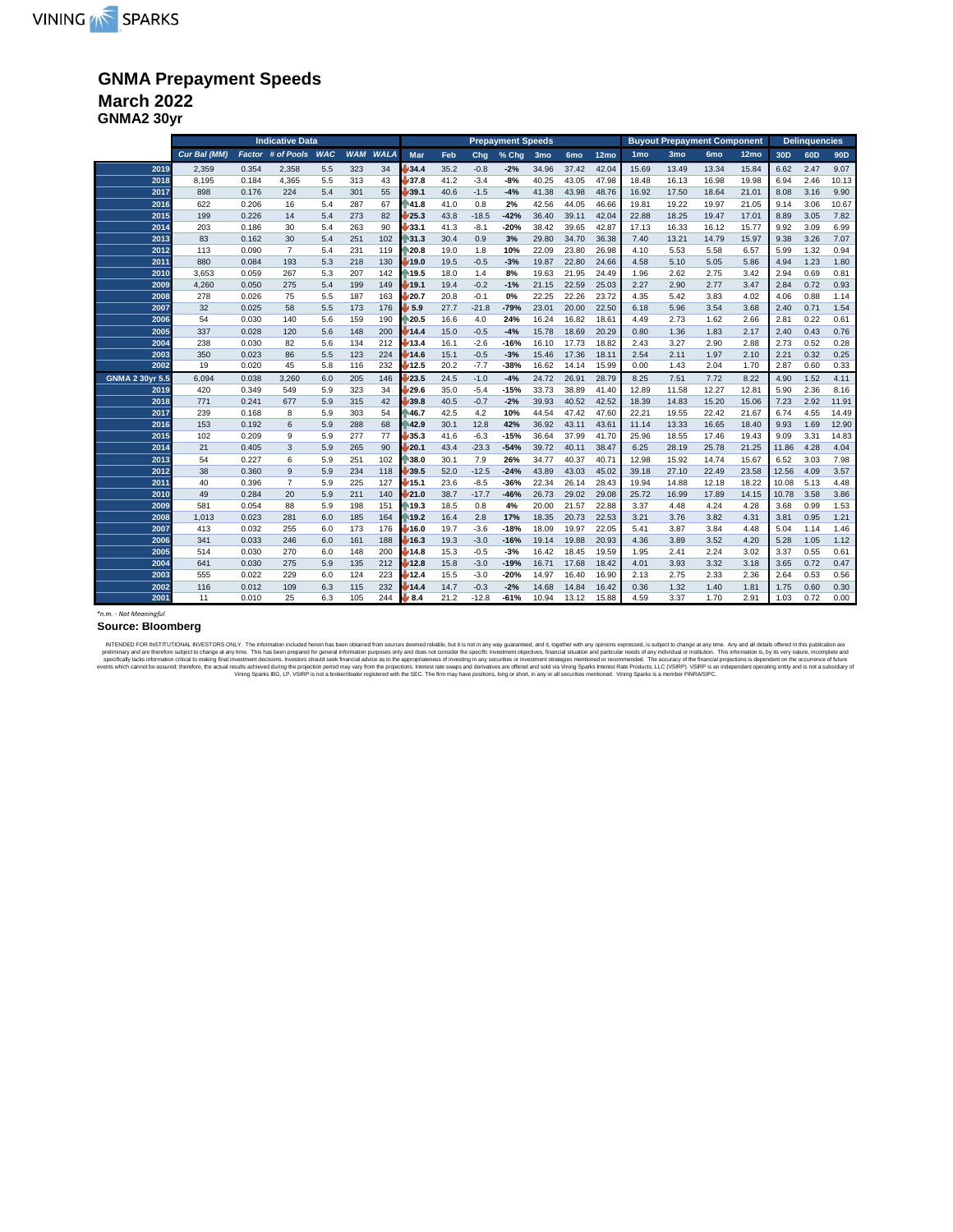### **GNMA Prepayment Speeds March 2022**

**GNMA2 30yr**

|                        |              |       |                   |            | <b>Prepayment Speeds</b> |             |                           |      | <b>Buyout Prepayment Component</b> |        |       |                 |       | <b>Delinquencies</b> |                 |                 |                  |                 |                 |                 |
|------------------------|--------------|-------|-------------------|------------|--------------------------|-------------|---------------------------|------|------------------------------------|--------|-------|-----------------|-------|----------------------|-----------------|-----------------|------------------|-----------------|-----------------|-----------------|
|                        | Cur Bal (MM) |       | Factor # of Pools | <b>WAC</b> | <b>WAM</b>               | <b>WALA</b> | Mar                       | Feb  | Chq                                | % Chg  | 3mo   | 6 <sub>mo</sub> | 12mo  | 1 <sub>mo</sub>      | 3 <sub>mo</sub> | 6 <sub>mo</sub> | 12 <sub>mo</sub> | 30 <sub>D</sub> | 60 <sub>D</sub> | 90 <sub>D</sub> |
| 2019                   | 2.359        | 0.354 | 2,358             | 5.5        | 323                      | 34          | 34.4                      | 35.2 | $-0.8$                             | $-2%$  | 34.96 | 37.42           | 42.04 | 15.69                | 13.49           | 13.34           | 15.84            | 6.62            | 2.47            | 9.07            |
| 2018                   | 8.195        | 0.184 | 4.365             | 5.5        | 313                      | 43          | 37.8                      | 41.2 | $-3.4$                             | $-8%$  | 40.25 | 43.05           | 47.98 | 18.48                | 16.13           | 16.98           | 19.98            | 6.94            | 2.46            | 10.13           |
| 2017                   | 898          | 0.176 | 224               | 5.4        | 301                      | 55          | 139.1                     | 40.6 | $-1.5$                             | $-4%$  | 41.38 | 43.98           | 48.76 | 16.92                | 17.50           | 18.64           | 21.01            | 8.08            | 3.16            | 9.90            |
| 2016                   | 622          | 0.206 | 16                | 5.4        | 287                      | 67          | <b>A1.8</b>               | 41.0 | 0.8                                | 2%     | 42.56 | 44.05           | 46.66 | 19.81                | 19.22           | 19.97           | 21.05            | 9.14            | 3.06            | 10.67           |
| 2015                   | 199          | 0.226 | 14                | 5.4        | 273                      | 82          | /25.3                     | 43.8 | $-18.5$                            | $-42%$ | 36.40 | 39.11           | 42.04 | 22.88                | 18.25           | 19.47           | 17.01            | 8.89            | 3.05            | 7.82            |
| 2014                   | 203          | 0.186 | 30                | 5.4        | 263                      | 90          | /33.1                     | 41.3 | $-8.1$                             | $-20%$ | 38.42 | 39.65           | 42.87 | 17.13                | 16.33           | 16.12           | 15.77            | 9.92            | 3.09            | 6.99            |
| 2013                   | 83           | 0.162 | 30                | 5.4        | 251                      | 102         | 131.3                     | 30.4 | 0.9                                | 3%     | 29.80 | 34.70           | 36.38 | 7.40                 | 13.21           | 14.79           | 15.97            | 9.38            | 3.26            | 7.07            |
| 2012                   | 113          | 0.090 | $\overline{7}$    | 5.4        | 231                      | 119         | 120.8                     | 19.0 | 1.8                                | 10%    | 22.09 | 23.80           | 26.98 | 4.10                 | 5.53            | 5.58            | 6.57             | 5.99            | 1.32            | 0.94            |
| 2011                   | 880          | 0.084 | 193               | 5.3        | 218                      | 130         | 19.0                      | 19.5 | $-0.5$                             | $-3%$  | 19.87 | 22.80           | 24.66 | 4.58                 | 5.10            | 5.05            | 5.86             | 4.94            | 1.23            | 1.80            |
| 2010                   | 3,653        | 0.059 | 267               | 5.3        | 207                      | 142         | 19.5                      | 18.0 | 1.4                                | 8%     | 19.63 | 21.95           | 24.49 | 1.96                 | 2.62            | 2.75            | 3.42             | 2.94            | 0.69            | 0.81            |
| 2009                   | 4,260        | 0.050 | 275               | 5.4        | 199                      | 149         | 19.1                      | 19.4 | $-0.2$                             | $-1%$  | 21.15 | 22.59           | 25.03 | 2.27                 | 2.90            | 2.77            | 3.47             | 2.84            | 0.72            | 0.93            |
| 2008                   | 278          | 0.026 | 75                | 5.5        | 187                      | 163         | /20.7                     | 20.8 | $-0.1$                             | 0%     | 22.25 | 22.26           | 23.72 | 4.35                 | 5.42            | 3.83            | 4.02             | 4.06            | 0.88            | 1.14            |
| 2007                   | 32           | 0.025 | 58                | 5.5        | 173                      | 176         | $\flat$ 5.9               | 27.7 | $-21.8$                            | $-79%$ | 23.01 | 20.00           | 22.50 | 6.18                 | 5.96            | 3.54            | 3.68             | 2.40            | 0.71            | 1.54            |
| 2006                   | 54           | 0.030 | 140               | 5.6        | 159                      | 190         | ੈ20.5                     | 16.6 | 4.0                                | 24%    | 16.24 | 16.82           | 18.61 | 4.49                 | 2.73            | 1.62            | 2.66             | 2.81            | 0.22            | 0.61            |
| 2005                   | 337          | 0.028 | 120               | 5.6        | 148                      | 200         | 14.4                      | 15.0 | $-0.5$                             | $-4%$  | 15.78 | 18.69           | 20.29 | 0.80                 | 1.36            | 1.83            | 2.17             | 2.40            | 0.43            | 0.76            |
| 2004                   | 238          | 0.030 | 82                | 5.6        | 134                      | 212         | 13.4                      | 16.1 | $-2.6$                             | $-16%$ | 16.10 | 17.73           | 18.82 | 2.43                 | 3.27            | 2.90            | 2.88             | 2.73            | 0.52            | 0.28            |
| 2003                   | 350          | 0.023 | 86                | 5.5        | 123                      | 224         | 14.6                      | 15.1 | $-0.5$                             | $-3%$  | 15.46 | 17.36           | 18.11 | 2.54                 | 2.11            | 1.97            | 2.10             | 2.21            | 0.32            | 0.25            |
| 2002                   | 19           | 0.020 | 45                | 5.8        | 116                      | 232         | 12.5                      | 20.2 | $-7.7$                             | $-38%$ | 16.62 | 14.14           | 15.99 | 0.00                 | 1.43            | 2.04            | 1.70             | 2.87            | 0.60            | 0.33            |
| <b>GNMA 2 30yr 5.5</b> | 6,094        | 0.038 | 3,260             | 6.0        | 205                      | 146         | 23.5                      | 24.5 | $-1.0$                             | $-4%$  | 24.72 | 26.91           | 28.79 | 8.25                 | 7.51            | 7.72            | 8.22             | 4.90            | 1.52            | 4.11            |
| 2019                   | 420          | 0.349 | 549               | 5.9        | 323                      | 34          | 29.6                      | 35.0 | $-5.4$                             | $-15%$ | 33.73 | 38.89           | 41.40 | 12.89                | 11.58           | 12.27           | 12.81            | 5.90            | 2.36            | 8.16            |
| 2018                   | 771          | 0.241 | 677               | 5.9        | 315                      | 42          | 39.8                      | 40.5 | $-0.7$                             | $-2%$  | 39.93 | 40.52           | 42.52 | 18.39                | 14.83           | 15.20           | 15.06            | 7.23            | 2.92            | 11.91           |
| 2017                   | 239          | 0.168 | 8                 | 5.9        | 303                      | 54          | <b>A6.7</b>               | 42.5 | 4.2                                | 10%    | 44.54 | 47.42           | 47.60 | 22.21                | 19.55           | 22.42           | 21.67            | 6.74            | 4.55            | 14.49           |
| 2016                   | 153          | 0.192 | 6                 | 5.9        | 288                      | 68          | 42.9                      | 30.1 | 12.8                               | 42%    | 36.92 | 43.11           | 43.61 | 11.14                | 13.33           | 16.65           | 18.40            | 9.93            | 1.69            | 12.90           |
| 2015                   | 102          | 0.209 | 9                 | 5.9        | 277                      | 77          | 35.3                      | 41.6 | $-6.3$                             | $-15%$ | 36.64 | 37.99           | 41.70 | 25.96                | 18.55           | 17.46           | 19.43            | 9.09            | 3.31            | 14.83           |
| 2014                   | 21           | 0.405 | 3                 | 5.9        | 265                      | 90          | 20.1                      | 43.4 | $-23.3$                            | $-54%$ | 39.72 | 40.11           | 38.47 | 6.25                 | 28.19           | 25.78           | 21.25            | 11.86           | 4.28            | 4.04            |
| 2013                   | 54           | 0.227 | 6                 | 5.9        | 251                      | 102         | 38.0                      | 30.1 | 7.9                                | 26%    | 34.77 | 40.37           | 40.71 | 12.98                | 15.92           | 14.74           | 15.67            | 6.52            | 3.03            | 7.98            |
| 2012                   | 38           | 0.360 | 9                 | 5.9        | 234                      | 118         | 39.5                      | 52.0 | $-12.5$                            | $-24%$ | 43.89 | 43.03           | 45.02 | 39.18                | 27.10           | 22.49           | 23.58            | 12.56           | 4.09            | 3.57            |
| 2011                   | 40           | 0.396 | $\overline{7}$    | 5.9        | 225                      | 127         | 15.1                      | 23.6 | $-8.5$                             | $-36%$ | 22.34 | 26.14           | 28.43 | 19.94                | 14.88           | 12.18           | 18.22            | 10.08           | 5.13            | 4.48            |
| 2010                   | 49           | 0.284 | 20                | 5.9        | 211                      | 140         | 21.0                      | 38.7 | $-17.7$                            | $-46%$ | 26.73 | 29.02           | 29.08 | 25.72                | 16.99           | 17.89           | 14.15            | 10.78           | 3.58            | 3.86            |
| 2009                   | 581          | 0.054 | 88                | 5.9        | 198                      | 151         | ⋔19.3                     | 18.5 | 0.8                                | 4%     | 20.00 | 21.57           | 22.88 | 3.37                 | 4.48            | 4.24            | 4.28             | 3.68            | 0.99            | 1.53            |
| 2008                   | 1,013        | 0.023 | 281               | 6.0        | 185                      | 164         | 19.2                      | 16.4 | 2.8                                | 17%    | 18.35 | 20.73           | 22.53 | 3.21                 | 3.76            | 3.82            | 4.31             | 3.81            | 0.95            | 1.21            |
| 2007                   | 413          | 0.032 | 255               | 6.0        | 173                      | 176         | 16.0                      | 19.7 | $-3.6$                             | $-18%$ | 18.09 | 19.97           | 22.05 | 5.41                 | 3.87            | 3.84            | 4.48             | 5.04            | 1.14            | 1.46            |
| 2006                   | 341          | 0.033 | 246               | 6.0        | 161                      | 188         | 16.3                      | 19.3 | $-3.0$                             | $-16%$ | 19.14 | 19.88           | 20.93 | 4.36                 | 3.89            | 3.52            | 4.20             | 5.28            | 1.05            | 1.12            |
| 2005                   | 514          | 0.030 | 270               | 6.0        | 148                      | 200         | 14.8                      | 15.3 | $-0.5$                             | $-3%$  | 16.42 | 18.45           | 19.59 | 1.95                 | 2.41            | 2.24            | 3.02             | 3.37            | 0.55            | 0.61            |
| 2004                   | 641          | 0.030 | 275               | 5.9        | 135                      | 212         | 12.8                      | 15.8 | $-3.0$                             | $-19%$ | 16.71 | 17.68           | 18.42 | 4.01                 | 3.93            | 3.32            | 3.18             | 3.65            | 0.72            | 0.47            |
| 2003                   | 555          | 0.022 | 229               | 6.0        | 124                      | 223         | 12.4                      | 15.5 | $-3.0$                             | $-20%$ | 14.97 | 16.40           | 16.90 | 2.13                 | 2.75            | 2.33            | 2.36             | 2.64            | 0.53            | 0.56            |
| 2002                   | 116          | 0.012 | 109               | 6.3        | 115                      | 232         | 14.4                      | 14.7 | $-0.3$                             | $-2%$  | 14.68 | 14.84           | 16.42 | 0.36                 | 1.32            | 1.40            | 1.81             | 1.75            | 0.60            | 0.30            |
| 2001                   | 11           | 0.010 | 25                | 6.3        | 105                      | 244         | $\blacktriangleright$ 8.4 | 21.2 | $-12.8$                            | $-61%$ | 10.94 | 13.12           | 15.88 | 4.59                 | 3.37            | 1.70            | 2.91             | 1.03            | 0.72            | 0.00            |

#### **Source: Bloomberg**

*\*n.m. - Not Meaningful*

NTENDED FOR NETTUTONAL NVESTORS ONLY. The information include herein has been prepared to general information purposes only and does not consider a specific investment distribution include include include include include i